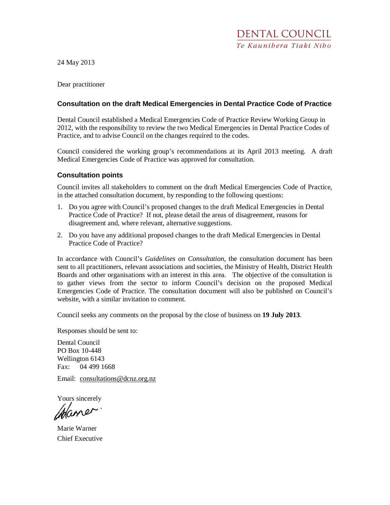24 May 2013

Dear practitioner

#### **Consultation on the draft Medical Emergencies in Dental Practice Code of Practice**

Dental Council established a Medical Emergencies Code of Practice Review Working Group in 2012, with the responsibility to review the two Medical Emergencies in Dental Practice Codes of Practice, and to advise Council on the changes required to the codes.

Council considered the working group's recommendations at its April 2013 meeting. A draft Medical Emergencies Code of Practice was approved for consultation.

#### **Consultation points**

Council invites all stakeholders to comment on the draft Medical Emergencies Code of Practice, in the attached consultation document, by responding to the following questions:

- 1. Do you agree with Council's proposed changes to the draft Medical Emergencies in Dental Practice Code of Practice? If not, please detail the areas of disagreement, reasons for disagreement and, where relevant, alternative suggestions.
- 2. Do you have any additional proposed changes to the draft Medical Emergencies in Dental Practice Code of Practice?

In accordance with Council's *Guidelines on Consultation*, the consultation document has been sent to all practitioners, relevant associations and societies, the Ministry of Health, District Health Boards and other organisations with an interest in this area. The objective of the consultation is to gather views from the sector to inform Council's decision on the proposed Medical Emergencies Code of Practice. The consultation document will also be published on Council's website, with a similar invitation to comment.

Council seeks any comments on the proposal by the close of business on **19 July 2013**.

Responses should be sent to:

Dental Council PO Box 10-448 Wellington 6143 Fax: 04 499 1668

Email: consultations@dcnz.org.nz

Yours sincerely

Chaner

Marie Warner Chief Executive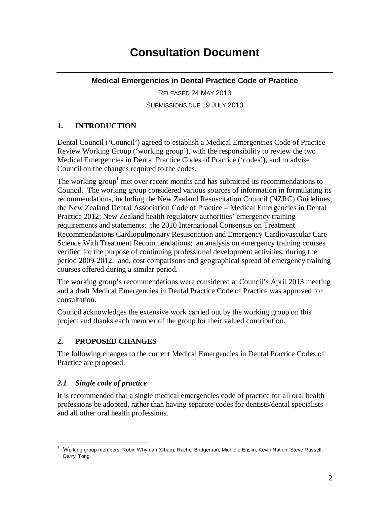# **Consultation Document**

# **Medical Emergencies in Dental Practice Code of Practice**

RELEASED 24 MAY 2013

SUBMISSIONS DUE 19 JULY 2013

# **1. INTRODUCTION**

Dental Council ('Council') agreed to establish a Medical Emergencies Code of Practice Review Working Group ('working group'), with the responsibility to review the two Medical Emergencies in Dental Practice Codes of Practice ('codes'), and to advise Council on the changes required to the codes.

The working group<sup>1</sup> met over recent months and has submitted its recommendations to Council. The working group considered various sources of information in formulating its recommendations, including the New Zealand Resuscitation Council (NZRC) Guidelines; the New Zealand Dental Association Code of Practice – Medical Emergencies in Dental Practice 2012; New Zealand health regulatory authorities' emergency training requirements and statements; the 2010 International Consensus on Treatment Recommendations Cardiopulmonary Resuscitation and Emergency Cardiovascular Care Science With Treatment Recommendations; an analysis on emergency training courses verified for the purpose of continuing professional development activities, during the period 2009-2012; and, cost comparisons and geographical spread of emergency training courses offered during a similar period.

The working group's recommendations were considered at Council's April 2013 meeting and a draft Medical Emergencies in Dental Practice Code of Practice was approved for consultation.

Council acknowledges the extensive work carried out by the working group on this project and thanks each member of the group for their valued contribution.

# **2. PROPOSED CHANGES**

The following changes to the current Medical Emergencies in Dental Practice Codes of Practice are proposed.

# *2.1 Single code of practice*

It is recommended that a single medical emergencies code of practice for all oral health professions be adopted, rather than having separate codes for dentists/dental specialists and all other oral health professions.

<sup>&</sup>lt;u>.</u> 1 Working group members: Robin Whyman (Chair), Rachel Bridgeman, Michelle Enslin, Kevin Nation, Steve Russell, Darryl Tong.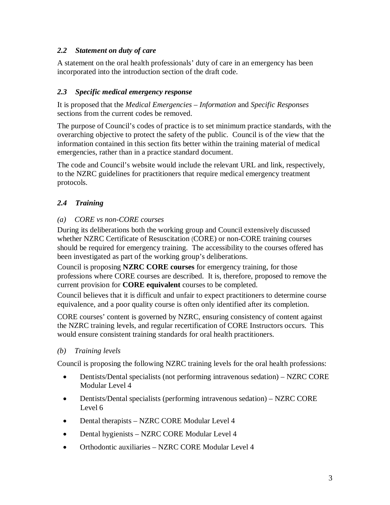# *2.2 Statement on duty of care*

A statement on the oral health professionals' duty of care in an emergency has been incorporated into the introduction section of the draft code.

# *2.3 Specific medical emergency response*

It is proposed that the *Medical Emergencies – Information* and *Specific Responses* sections from the current codes be removed.

The purpose of Council's codes of practice is to set minimum practice standards, with the overarching objective to protect the safety of the public. Council is of the view that the information contained in this section fits better within the training material of medical emergencies, rather than in a practice standard document.

The code and Council's website would include the relevant URL and link, respectively, to the NZRC guidelines for practitioners that require medical emergency treatment protocols.

# *2.4 Training*

# *(a) CORE vs non-CORE courses*

During its deliberations both the working group and Council extensively discussed whether NZRC Certificate of Resuscitation (CORE) or non-CORE training courses should be required for emergency training. The accessibility to the courses offered has been investigated as part of the working group's deliberations.

Council is proposing **NZRC CORE courses** for emergency training, for those professions where CORE courses are described. It is, therefore, proposed to remove the current provision for **CORE equivalent** courses to be completed.

Council believes that it is difficult and unfair to expect practitioners to determine course equivalence, and a poor quality course is often only identified after its completion.

CORE courses' content is governed by NZRC, ensuring consistency of content against the NZRC training levels, and regular recertification of CORE Instructors occurs. This would ensure consistent training standards for oral health practitioners.

# *(b) Training levels*

Council is proposing the following NZRC training levels for the oral health professions:

- Dentists/Dental specialists (not performing intravenous sedation) NZRC CORE Modular Level 4
- Dentists/Dental specialists (performing intravenous sedation) NZRC CORE Level 6
- Dental therapists NZRC CORE Modular Level 4
- Dental hygienists NZRC CORE Modular Level 4
- Orthodontic auxiliaries NZRC CORE Modular Level 4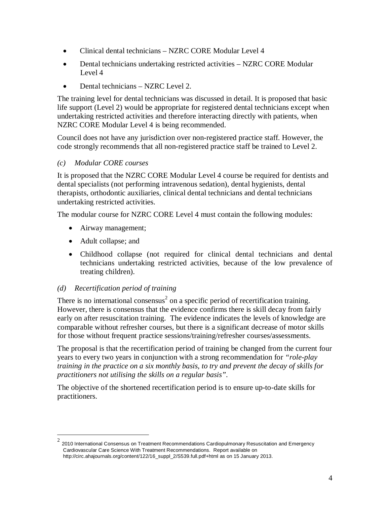- Clinical dental technicians NZRC CORE Modular Level 4
- Dental technicians undertaking restricted activities NZRC CORE Modular Level 4
- Dental technicians NZRC Level 2.

The training level for dental technicians was discussed in detail. It is proposed that basic life support (Level 2) would be appropriate for registered dental technicians except when undertaking restricted activities and therefore interacting directly with patients, when NZRC CORE Modular Level 4 is being recommended.

Council does not have any jurisdiction over non-registered practice staff. However, the code strongly recommends that all non-registered practice staff be trained to Level 2.

# *(c) Modular CORE courses*

It is proposed that the NZRC CORE Modular Level 4 course be required for dentists and dental specialists (not performing intravenous sedation), dental hygienists, dental therapists, orthodontic auxiliaries, clinical dental technicians and dental technicians undertaking restricted activities.

The modular course for NZRC CORE Level 4 must contain the following modules:

- Airway management;
- Adult collapse; and

-

• Childhood collapse (not required for clinical dental technicians and dental technicians undertaking restricted activities, because of the low prevalence of treating children).

# *(d) Recertification period of training*

There is no international consensus<sup>2</sup> on a specific period of recertification training. However, there is consensus that the evidence confirms there is skill decay from fairly early on after resuscitation training. The evidence indicates the levels of knowledge are comparable without refresher courses, but there is a significant decrease of motor skills for those without frequent practice sessions/training/refresher courses/assessments.

The proposal is that the recertification period of training be changed from the current four years to every two years in conjunction with a strong recommendation for *"role-play training in the practice on a six monthly basis, to try and prevent the decay of skills for practitioners not utilising the skills on a regular basis".* 

The objective of the shortened recertification period is to ensure up-to-date skills for practitioners.

<sup>2</sup> 2010 International Consensus on Treatment Recommendations Cardiopulmonary Resuscitation and Emergency Cardiovascular Care Science With Treatment Recommendations. Report available on http://circ.ahajournals.org/content/122/16\_suppl\_2/S539.full.pdf+html as on 15 January 2013.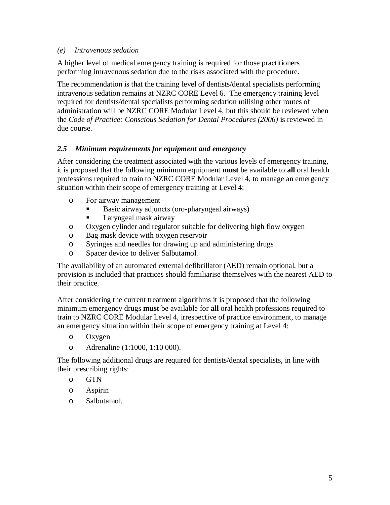#### *(e) Intravenous sedation*

A higher level of medical emergency training is required for those practitioners performing intravenous sedation due to the risks associated with the procedure.

The recommendation is that the training level of dentists/dental specialists performing intravenous sedation remains at NZRC CORE Level 6. The emergency training level required for dentists/dental specialists performing sedation utilising other routes of administration will be NZRC CORE Modular Level 4, but this should be reviewed when the *Code of Practice: Conscious Sedation for Dental Procedures (2006)* is reviewed in due course.

# *2.5 Minimum requirements for equipment and emergency*

After considering the treatment associated with the various levels of emergency training, it is proposed that the following minimum equipment **must** be available to **all** oral health professions required to train to NZRC CORE Modular Level 4, to manage an emergency situation within their scope of emergency training at Level 4:

- o For airway management
	- Basic airway adjuncts (oro-pharyngeal airways)
	- Laryngeal mask airway
- o Oxygen cylinder and regulator suitable for delivering high flow oxygen
- o Bag mask device with oxygen reservoir
- o Syringes and needles for drawing up and administering drugs
- o Spacer device to deliver Salbutamol.

The availability of an automated external defibrillator (AED) remain optional, but a provision is included that practices should familiarise themselves with the nearest AED to their practice.

After considering the current treatment algorithms it is proposed that the following minimum emergency drugs **must** be available for **all** oral health professions required to train to NZRC CORE Modular Level 4, irrespective of practice environment, to manage an emergency situation within their scope of emergency training at Level 4:

- o Oxygen
- o Adrenaline (1:1000, 1:10 000).

The following additional drugs are required for dentists/dental specialists, in line with their prescribing rights:

- o GTN
- o Aspirin
- o Salbutamol.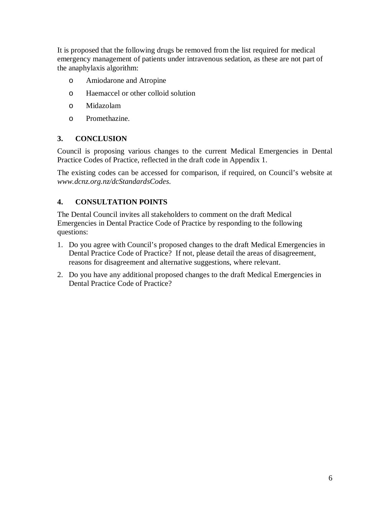It is proposed that the following drugs be removed from the list required for medical emergency management of patients under intravenous sedation, as these are not part of the anaphylaxis algorithm:

- o Amiodarone and Atropine
- o Haemaccel or other colloid solution
- o Midazolam
- o Promethazine.

# **3. CONCLUSION**

Council is proposing various changes to the current Medical Emergencies in Dental Practice Codes of Practice, reflected in the draft code in Appendix 1.

The existing codes can be accessed for comparison, if required, on Council's website at *www.dcnz.org.nz/dcStandardsCodes*.

# **4. CONSULTATION POINTS**

The Dental Council invites all stakeholders to comment on the draft Medical Emergencies in Dental Practice Code of Practice by responding to the following questions:

- 1. Do you agree with Council's proposed changes to the draft Medical Emergencies in Dental Practice Code of Practice? If not, please detail the areas of disagreement, reasons for disagreement and alternative suggestions, where relevant.
- 2. Do you have any additional proposed changes to the draft Medical Emergencies in Dental Practice Code of Practice?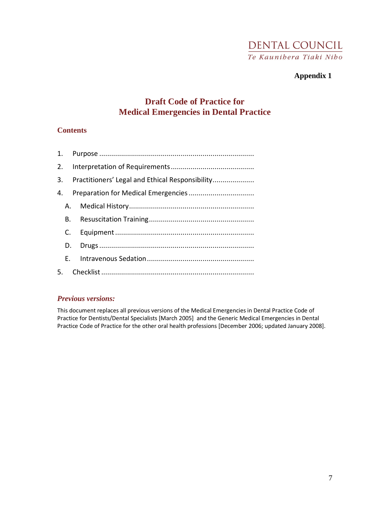# **DENTAL COUNCIL** Te Kaunibera Tiaki Nibo

# **Appendix 1**

# **Draft Code of Practice for Medical Emergencies in Dental Practice**

#### **Contents**

|    | 3. Practitioners' Legal and Ethical Responsibility |
|----|----------------------------------------------------|
|    |                                                    |
|    |                                                    |
|    | B.,                                                |
| C. |                                                    |
| D. |                                                    |
|    | F.                                                 |
|    |                                                    |

#### *Previous versions:*

This document replaces all previous versions of the Medical Emergencies in Dental Practice Code of Practice for Dentists/Dental Specialists [March 2005] and the Generic Medical Emergencies in Dental Practice Code of Practice for the other oral health professions [December 2006; updated January 2008].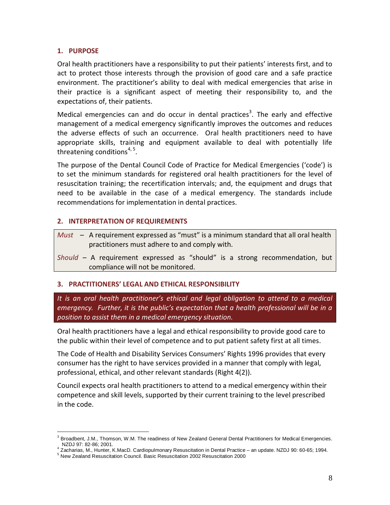#### 1. PURPOSE

Oral health practitioners have a responsibility to put their patients' interests first, and to act to protect those interests through the provision of good care and a safe practice environment. The practitioner's ability to deal with medical emergencies that arise in their practice is a significant aspect of meeting their responsibility to, and the expectations of, their patients.

Medical emergencies can and do occur in dental practices<sup>3</sup>. The early and effective management of a medical emergency significantly improves the outcomes and reduces the adverse effects of such an occurrence. Oral health practitioners need to have appropriate skills, training and equipment available to deal with potentially life threatening conditions<sup>4, 5</sup>.

The purpose of the Dental Council Code of Practice for Medical Emergencies ('code') is to set the minimum standards for registered oral health practitioners for the level of resuscitation training; the recertification intervals; and, the equipment and drugs that need to be available in the case of a medical emergency. The standards include recommendations for implementation in dental practices.

#### 2. INTERPRETATION OF REQUIREMENTS

- Must  $-$  A requirement expressed as "must" is a minimum standard that all oral health practitioners must adhere to and comply with.
- Should A requirement expressed as "should" is a strong recommendation, but compliance will not be monitored.

# 3. PRACTITIONERS' LEGAL AND ETHICAL RESPONSIBILITY

It is an oral health practitioner's ethical and legal obligation to attend to a medical emergency. Further, it is the public's expectation that a health professional will be in a position to assist them in a medical emergency situation.

Oral health practitioners have a legal and ethical responsibility to provide good care to the public within their level of competence and to put patient safety first at all times.

The Code of Health and Disability Services Consumers' Rights 1996 provides that every consumer has the right to have services provided in a manner that comply with legal, professional, ethical, and other relevant standards (Right 4(2)).

Council expects oral health practitioners to attend to a medical emergency within their competence and skill levels, supported by their current training to the level prescribed in the code.

<sup>&</sup>lt;u>.</u> <sup>3</sup> Broadbent, J.M., Thomson, W.M. The readiness of New Zealand General Dental Practitioners for Medical Emergencies. NZDJ 97: 82-86; 2001.

<sup>4</sup> Zacharias, M., Hunter, K.MacD. Cardiopulmonary Resuscitation in Dental Practice – an update. NZDJ 90: 60-65; 1994.

<sup>&</sup>lt;sup>5</sup> New Zealand Resuscitation Council. Basic Resuscitation 2002 Resuscitation 2000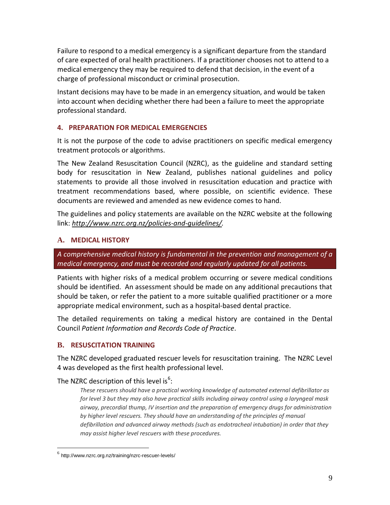Failure to respond to a medical emergency is a significant departure from the standard of care expected of oral health practitioners. If a practitioner chooses not to attend to a medical emergency they may be required to defend that decision, in the event of a charge of professional misconduct or criminal prosecution.

Instant decisions may have to be made in an emergency situation, and would be taken into account when deciding whether there had been a failure to meet the appropriate professional standard.

#### 4. PREPARATION FOR MEDICAL EMERGENCIES

It is not the purpose of the code to advise practitioners on specific medical emergency treatment protocols or algorithms.

The New Zealand Resuscitation Council (NZRC), as the guideline and standard setting body for resuscitation in New Zealand, publishes national guidelines and policy statements to provide all those involved in resuscitation education and practice with treatment recommendations based, where possible, on scientific evidence. These documents are reviewed and amended as new evidence comes to hand.

The guidelines and policy statements are available on the NZRC website at the following link: http://www.nzrc.org.nz/policies-and-guidelines/.

#### **A.** MEDICAL HISTORY

A comprehensive medical history is fundamental in the prevention and management of a medical emergency, and must be recorded and regularly updated for all patients.

Patients with higher risks of a medical problem occurring or severe medical conditions should be identified. An assessment should be made on any additional precautions that should be taken, or refer the patient to a more suitable qualified practitioner or a more appropriate medical environment, such as a hospital-based dental practice.

The detailed requirements on taking a medical history are contained in the Dental Council Patient Information and Records Code of Practice.

# **B.** RESUSCITATION TRAINING

The NZRC developed graduated rescuer levels for resuscitation training. The NZRC Level 4 was developed as the first health professional level.

The NZRC description of this level is<sup>6</sup>:

These rescuers should have a practical working knowledge of automated external defibrillator as for level 3 but they may also have practical skills including airway control using a laryngeal mask airway, precordial thump, IV insertion and the preparation of emergency drugs for administration by higher level rescuers. They should have an understanding of the principles of manual defibrillation and advanced airway methods (such as endotracheal intubation) in order that they may assist higher level rescuers with these procedures.

<u>.</u>

<sup>&</sup>lt;sup>6</sup> http://www.nzrc.org.nz/training/nzrc-rescuer-levels/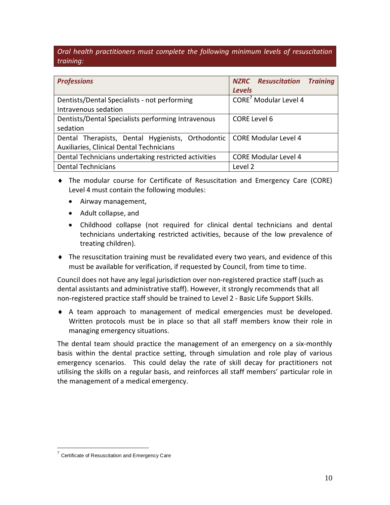Oral health practitioners must complete the following minimum levels of resuscitation training:

| <b>Professions</b>                                                       | <b>NZRC</b> Resuscitation Training<br><b>Levels</b> |
|--------------------------------------------------------------------------|-----------------------------------------------------|
|                                                                          |                                                     |
| Dentists/Dental Specialists - not performing                             | CORE <sup>7</sup> Modular Level 4                   |
| Intravenous sedation                                                     |                                                     |
| Dentists/Dental Specialists performing Intravenous                       | <b>CORE Level 6</b>                                 |
| sedation                                                                 |                                                     |
| Dental Therapists, Dental Hygienists, Orthodontic   CORE Modular Level 4 |                                                     |
| Auxiliaries, Clinical Dental Technicians                                 |                                                     |
| Dental Technicians undertaking restricted activities                     | <b>CORE Modular Level 4</b>                         |
| <b>Dental Technicians</b>                                                | Level 2                                             |

- ♦ The modular course for Certificate of Resuscitation and Emergency Care (CORE) Level 4 must contain the following modules:
	- Airway management,
	- Adult collapse, and
	- Childhood collapse (not required for clinical dental technicians and dental technicians undertaking restricted activities, because of the low prevalence of treating children).
- $\blacklozenge$  The resuscitation training must be revalidated every two years, and evidence of this must be available for verification, if requested by Council, from time to time.

Council does not have any legal jurisdiction over non-registered practice staff (such as dental assistants and administrative staff). However, it strongly recommends that all non-registered practice staff should be trained to Level 2 - Basic Life Support Skills.

♦ A team approach to management of medical emergencies must be developed. Written protocols must be in place so that all staff members know their role in managing emergency situations.

The dental team should practice the management of an emergency on a six-monthly basis within the dental practice setting, through simulation and role play of various emergency scenarios. This could delay the rate of skill decay for practitioners not utilising the skills on a regular basis, and reinforces all staff members' particular role in the management of a medical emergency.

<u>.</u>

 $7$  Certificate of Resuscitation and Emergency Care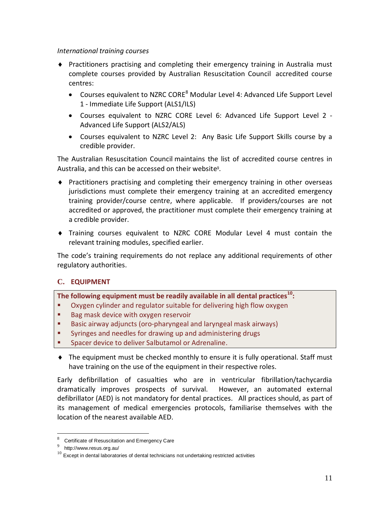#### International training courses

- ♦ Practitioners practising and completing their emergency training in Australia must complete courses provided by Australian Resuscitation Council accredited course centres:
	- $\bullet$  Courses equivalent to NZRC CORE<sup>8</sup> Modular Level 4: Advanced Life Support Level 1 - Immediate Life Support (ALS1/ILS)
	- Courses equivalent to NZRC CORE Level 6: Advanced Life Support Level 2 Advanced Life Support (ALS2/ALS)
	- Courses equivalent to NZRC Level 2: Any Basic Life Support Skills course by a credible provider.

The Australian Resuscitation Council maintains the list of accredited course centres in Australia, and this can be accessed on their website<sup>9</sup>.

- ♦ Practitioners practising and completing their emergency training in other overseas jurisdictions must complete their emergency training at an accredited emergency training provider/course centre, where applicable. If providers/courses are not accredited or approved, the practitioner must complete their emergency training at a credible provider.
- ♦ Training courses equivalent to NZRC CORE Modular Level 4 must contain the relevant training modules, specified earlier.

The code's training requirements do not replace any additional requirements of other regulatory authorities.

# **C.** EQUIPMENT

The following equipment must be readily available in all dental practices<sup>10</sup>:

- Oxygen cylinder and regulator suitable for delivering high flow oxygen
- Bag mask device with oxygen reservoir
- Basic airway adjuncts (oro-pharyngeal and laryngeal mask airways)
- **Syringes and needles for drawing up and administering drugs**
- Spacer device to deliver Salbutamol or Adrenaline.
- ♦ The equipment must be checked monthly to ensure it is fully operational. Staff must have training on the use of the equipment in their respective roles.

Early defibrillation of casualties who are in ventricular fibrillation/tachycardia dramatically improves prospects of survival. However, an automated external defibrillator (AED) is not mandatory for dental practices. All practices should, as part of its management of medical emergencies protocols, familiarise themselves with the location of the nearest available AED.

-

<sup>8</sup> Certificate of Resuscitation and Emergency Care

<sup>&</sup>lt;sup>9</sup> http://www.resus.org.au/

 $10$  Except in dental laboratories of dental technicians not undertaking restricted activities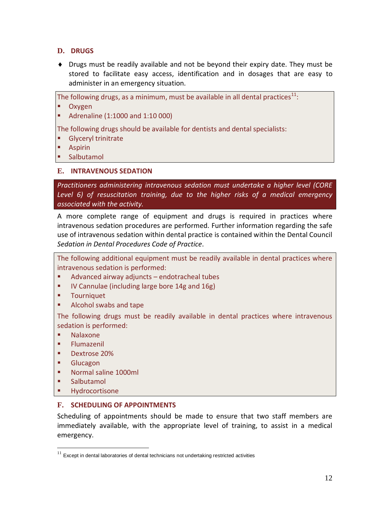# **D.** DRUGS

♦ Drugs must be readily available and not be beyond their expiry date. They must be stored to facilitate easy access, identification and in dosages that are easy to administer in an emergency situation.

The following drugs, as a minimum, must be available in all dental practices $^{11}$ :

- **Dxygen**
- Adrenaline (1:1000 and 1:10 000)

The following drugs should be available for dentists and dental specialists:

- Glyceryl trinitrate
- **Aspirin**
- **Salbutamol**

#### **E.** INTRAVENOUS SEDATION

Practitioners administering intravenous sedation must undertake a higher level (CORE Level 6) of resuscitation training, due to the higher risks of a medical emergency associated with the activity.

A more complete range of equipment and drugs is required in practices where intravenous sedation procedures are performed. Further information regarding the safe use of intravenous sedation within dental practice is contained within the Dental Council Sedation in Dental Procedures Code of Practice.

The following additional equipment must be readily available in dental practices where intravenous sedation is performed:

- Advanced airway adjuncts endotracheal tubes
- **IV Cannulae (including large bore 14g and 16g)**
- **Tourniquet**
- Alcohol swabs and tape

The following drugs must be readily available in dental practices where intravenous sedation is performed:

- Nalaxone
- Flumazenil
- Dextrose 20%
- **Glucagon**
- Normal saline 1000ml
- **Salbutamol**

<u>.</u>

Hydrocortisone

#### **F.** SCHEDULING OF APPOINTMENTS

Scheduling of appointments should be made to ensure that two staff members are immediately available, with the appropriate level of training, to assist in a medical emergency.

 $11$  Except in dental laboratories of dental technicians not undertaking restricted activities